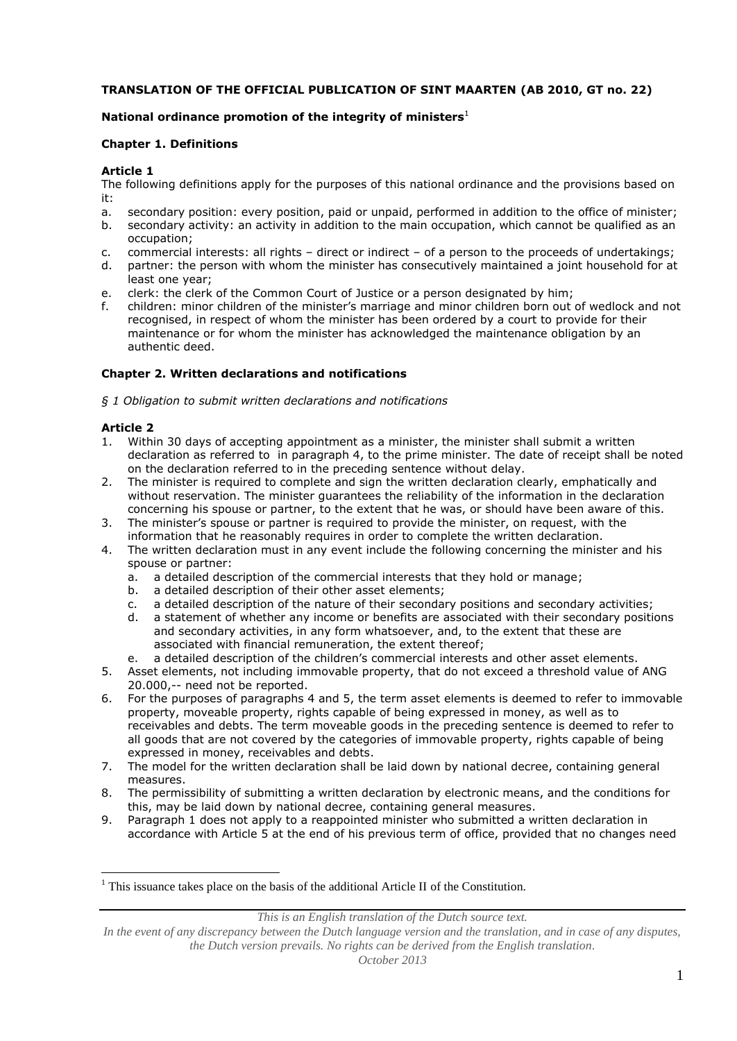## **TRANSLATION OF THE OFFICIAL PUBLICATION OF SINT MAARTEN (AB 2010, GT no. 22)**

## **National ordinance promotion of the integrity of ministers**<sup>1</sup>

### **Chapter 1. Definitions**

### **Article 1**

The following definitions apply for the purposes of this national ordinance and the provisions based on it:

- a. secondary position: every position, paid or unpaid, performed in addition to the office of minister; b. secondary activity: an activity in addition to the main occupation, which cannot be qualified as an
- occupation;
- c. commercial interests: all rights direct or indirect of a person to the proceeds of undertakings;
- d. partner: the person with whom the minister has consecutively maintained a joint household for at least one year;
- e. clerk: the clerk of the Common Court of Justice or a person designated by him;
- f. children: minor children of the minister's marriage and minor children born out of wedlock and not recognised, in respect of whom the minister has been ordered by a court to provide for their maintenance or for whom the minister has acknowledged the maintenance obligation by an authentic deed.

### **Chapter 2. Written declarations and notifications**

*§ 1 Obligation to submit written declarations and notifications*

## **Article 2**

 $\overline{a}$ 

- 1. Within 30 days of accepting appointment as a minister, the minister shall submit a written declaration as referred to in paragraph 4, to the prime minister. The date of receipt shall be noted on the declaration referred to in the preceding sentence without delay.
- 2. The minister is required to complete and sign the written declaration clearly, emphatically and without reservation. The minister guarantees the reliability of the information in the declaration concerning his spouse or partner, to the extent that he was, or should have been aware of this.
- 3. The minister's spouse or partner is required to provide the minister, on request, with the information that he reasonably requires in order to complete the written declaration.
- 4. The written declaration must in any event include the following concerning the minister and his spouse or partner:
	- a. a detailed description of the commercial interests that they hold or manage;
	- b. a detailed description of their other asset elements;
	- c. a detailed description of the nature of their secondary positions and secondary activities;
	- d. a statement of whether any income or benefits are associated with their secondary positions and secondary activities, in any form whatsoever, and, to the extent that these are associated with financial remuneration, the extent thereof;
	- e. a detailed description of the children's commercial interests and other asset elements.
- 5. Asset elements, not including immovable property, that do not exceed a threshold value of ANG 20.000,-- need not be reported.
- 6. For the purposes of paragraphs 4 and 5, the term asset elements is deemed to refer to immovable property, moveable property, rights capable of being expressed in money, as well as to receivables and debts. The term moveable goods in the preceding sentence is deemed to refer to all goods that are not covered by the categories of immovable property, rights capable of being expressed in money, receivables and debts.
- 7. The model for the written declaration shall be laid down by national decree, containing general measures.
- 8. The permissibility of submitting a written declaration by electronic means, and the conditions for this, may be laid down by national decree, containing general measures.
- 9. Paragraph 1 does not apply to a reappointed minister who submitted a written declaration in accordance with Article 5 at the end of his previous term of office, provided that no changes need

*This is an English translation of the Dutch source text.*

<sup>&</sup>lt;sup>1</sup> This issuance takes place on the basis of the additional Article II of the Constitution.

*In the event of any discrepancy between the Dutch language version and the translation, and in case of any disputes, the Dutch version prevails. No rights can be derived from the English translation.*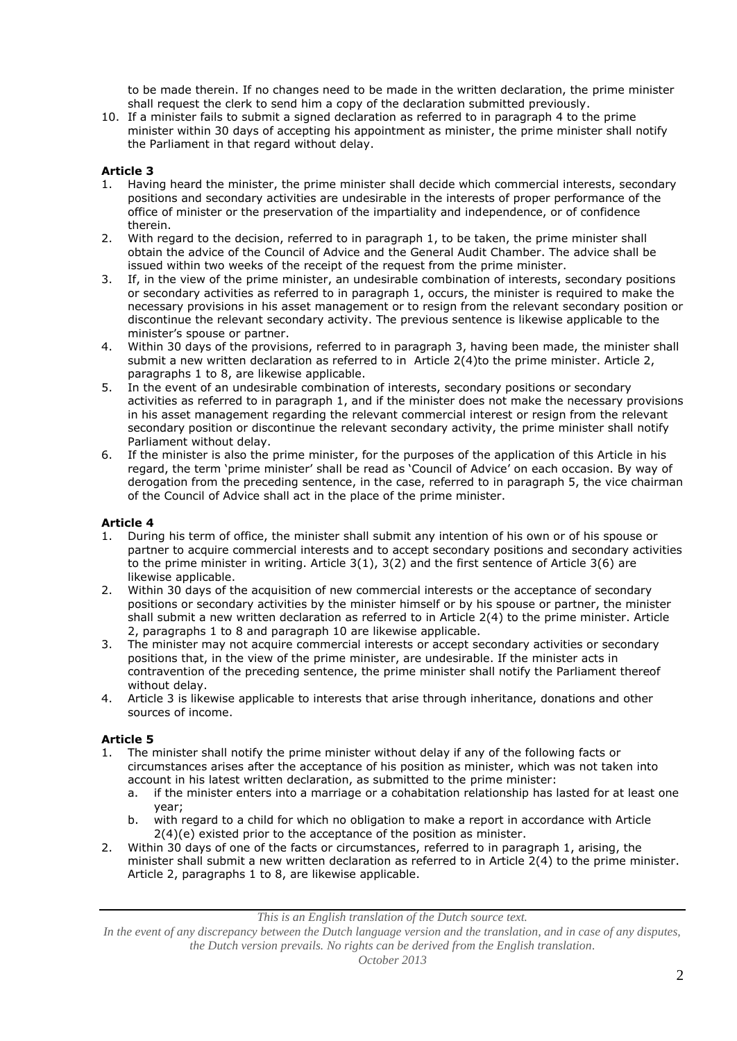to be made therein. If no changes need to be made in the written declaration, the prime minister shall request the clerk to send him a copy of the declaration submitted previously.

10. If a minister fails to submit a signed declaration as referred to in paragraph 4 to the prime minister within 30 days of accepting his appointment as minister, the prime minister shall notify the Parliament in that regard without delay.

## **Article 3**

- 1. Having heard the minister, the prime minister shall decide which commercial interests, secondary positions and secondary activities are undesirable in the interests of proper performance of the office of minister or the preservation of the impartiality and independence, or of confidence therein.
- 2. With regard to the decision, referred to in paragraph 1, to be taken, the prime minister shall obtain the advice of the Council of Advice and the General Audit Chamber. The advice shall be issued within two weeks of the receipt of the request from the prime minister.
- 3. If, in the view of the prime minister, an undesirable combination of interests, secondary positions or secondary activities as referred to in paragraph 1, occurs, the minister is required to make the necessary provisions in his asset management or to resign from the relevant secondary position or discontinue the relevant secondary activity. The previous sentence is likewise applicable to the minister's spouse or partner.
- 4. Within 30 days of the provisions, referred to in paragraph 3, having been made, the minister shall submit a new written declaration as referred to in Article 2(4)to the prime minister. Article 2, paragraphs 1 to 8, are likewise applicable.
- 5. In the event of an undesirable combination of interests, secondary positions or secondary activities as referred to in paragraph 1, and if the minister does not make the necessary provisions in his asset management regarding the relevant commercial interest or resign from the relevant secondary position or discontinue the relevant secondary activity, the prime minister shall notify Parliament without delay.
- 6. If the minister is also the prime minister, for the purposes of the application of this Article in his regard, the term 'prime minister' shall be read as 'Council of Advice' on each occasion. By way of derogation from the preceding sentence, in the case, referred to in paragraph 5, the vice chairman of the Council of Advice shall act in the place of the prime minister.

#### **Article 4**

- 1. During his term of office, the minister shall submit any intention of his own or of his spouse or partner to acquire commercial interests and to accept secondary positions and secondary activities to the prime minister in writing. Article  $3(1)$ ,  $3(2)$  and the first sentence of Article  $3(6)$  are likewise applicable.
- 2. Within 30 days of the acquisition of new commercial interests or the acceptance of secondary positions or secondary activities by the minister himself or by his spouse or partner, the minister shall submit a new written declaration as referred to in Article 2(4) to the prime minister. Article 2, paragraphs 1 to 8 and paragraph 10 are likewise applicable.
- 3. The minister may not acquire commercial interests or accept secondary activities or secondary positions that, in the view of the prime minister, are undesirable. If the minister acts in contravention of the preceding sentence, the prime minister shall notify the Parliament thereof without delay.
- 4. Article 3 is likewise applicable to interests that arise through inheritance, donations and other sources of income.

## **Article 5**

- 1. The minister shall notify the prime minister without delay if any of the following facts or circumstances arises after the acceptance of his position as minister, which was not taken into account in his latest written declaration, as submitted to the prime minister:
	- a. if the minister enters into a marriage or a cohabitation relationship has lasted for at least one year;
	- b. with regard to a child for which no obligation to make a report in accordance with Article 2(4)(e) existed prior to the acceptance of the position as minister.
- 2. Within 30 days of one of the facts or circumstances, referred to in paragraph 1, arising, the minister shall submit a new written declaration as referred to in Article 2(4) to the prime minister. Article 2, paragraphs 1 to 8, are likewise applicable.

*This is an English translation of the Dutch source text.*

*In the event of any discrepancy between the Dutch language version and the translation, and in case of any disputes, the Dutch version prevails. No rights can be derived from the English translation.*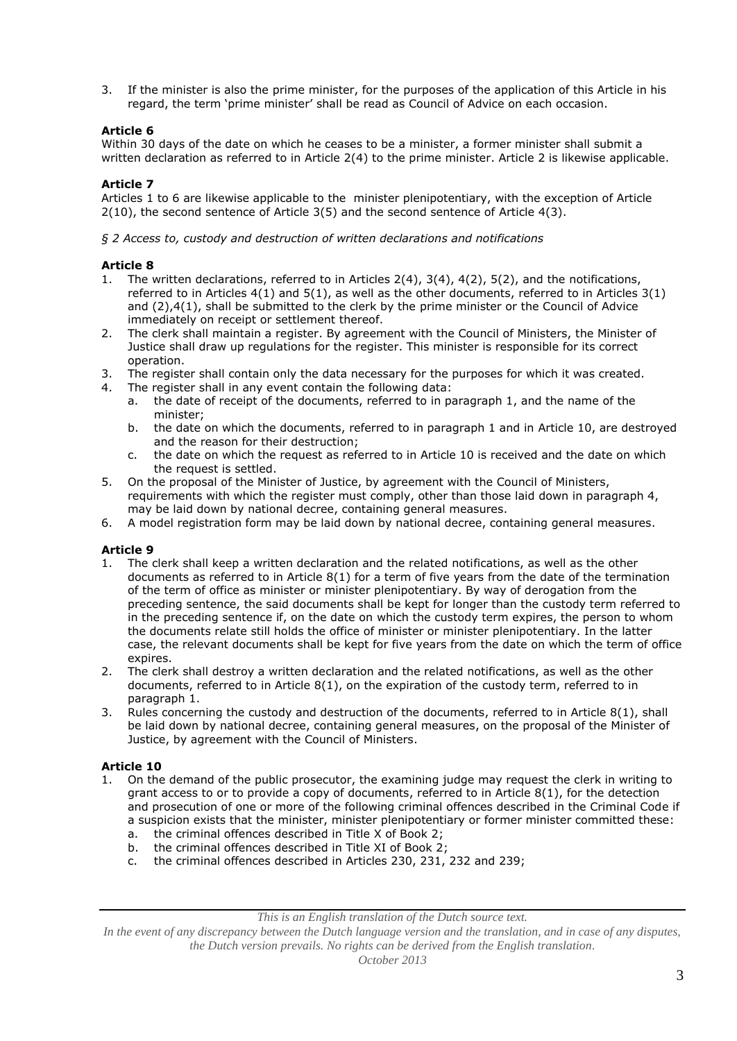3. If the minister is also the prime minister, for the purposes of the application of this Article in his regard, the term 'prime minister' shall be read as Council of Advice on each occasion.

## **Article 6**

Within 30 days of the date on which he ceases to be a minister, a former minister shall submit a written declaration as referred to in Article 2(4) to the prime minister. Article 2 is likewise applicable.

# **Article 7**

Articles 1 to 6 are likewise applicable to the minister plenipotentiary, with the exception of Article 2(10), the second sentence of Article 3(5) and the second sentence of Article 4(3).

*§ 2 Access to, custody and destruction of written declarations and notifications*

## **Article 8**

- 1. The written declarations, referred to in Articles 2(4), 3(4), 4(2), 5(2), and the notifications, referred to in Articles 4(1) and 5(1), as well as the other documents, referred to in Articles 3(1) and (2),4(1), shall be submitted to the clerk by the prime minister or the Council of Advice immediately on receipt or settlement thereof.
- 2. The clerk shall maintain a register. By agreement with the Council of Ministers, the Minister of Justice shall draw up regulations for the register. This minister is responsible for its correct operation.
- 3. The register shall contain only the data necessary for the purposes for which it was created.
- 4. The register shall in any event contain the following data:
	- a. the date of receipt of the documents, referred to in paragraph 1, and the name of the minister;
	- b. the date on which the documents, referred to in paragraph 1 and in Article 10, are destroyed and the reason for their destruction;
	- c. the date on which the request as referred to in Article 10 is received and the date on which the request is settled.
- 5. On the proposal of the Minister of Justice, by agreement with the Council of Ministers, requirements with which the register must comply, other than those laid down in paragraph 4, may be laid down by national decree, containing general measures.
- 6. A model registration form may be laid down by national decree, containing general measures.

## **Article 9**

- 1. The clerk shall keep a written declaration and the related notifications, as well as the other documents as referred to in Article 8(1) for a term of five years from the date of the termination of the term of office as minister or minister plenipotentiary. By way of derogation from the preceding sentence, the said documents shall be kept for longer than the custody term referred to in the preceding sentence if, on the date on which the custody term expires, the person to whom the documents relate still holds the office of minister or minister plenipotentiary. In the latter case, the relevant documents shall be kept for five years from the date on which the term of office expires.
- 2. The clerk shall destroy a written declaration and the related notifications, as well as the other documents, referred to in Article 8(1), on the expiration of the custody term, referred to in paragraph 1.
- 3. Rules concerning the custody and destruction of the documents, referred to in Article 8(1), shall be laid down by national decree, containing general measures, on the proposal of the Minister of Justice, by agreement with the Council of Ministers.

## **Article 10**

- 1. On the demand of the public prosecutor, the examining judge may request the clerk in writing to grant access to or to provide a copy of documents, referred to in Article 8(1), for the detection and prosecution of one or more of the following criminal offences described in the Criminal Code if a suspicion exists that the minister, minister plenipotentiary or former minister committed these:
	- a. the criminal offences described in Title X of Book 2;
	- b. the criminal offences described in Title XI of Book 2;
	- c. the criminal offences described in Articles 230, 231, 232 and 239;

*This is an English translation of the Dutch source text.*

*In the event of any discrepancy between the Dutch language version and the translation, and in case of any disputes, the Dutch version prevails. No rights can be derived from the English translation.*

*October 2013*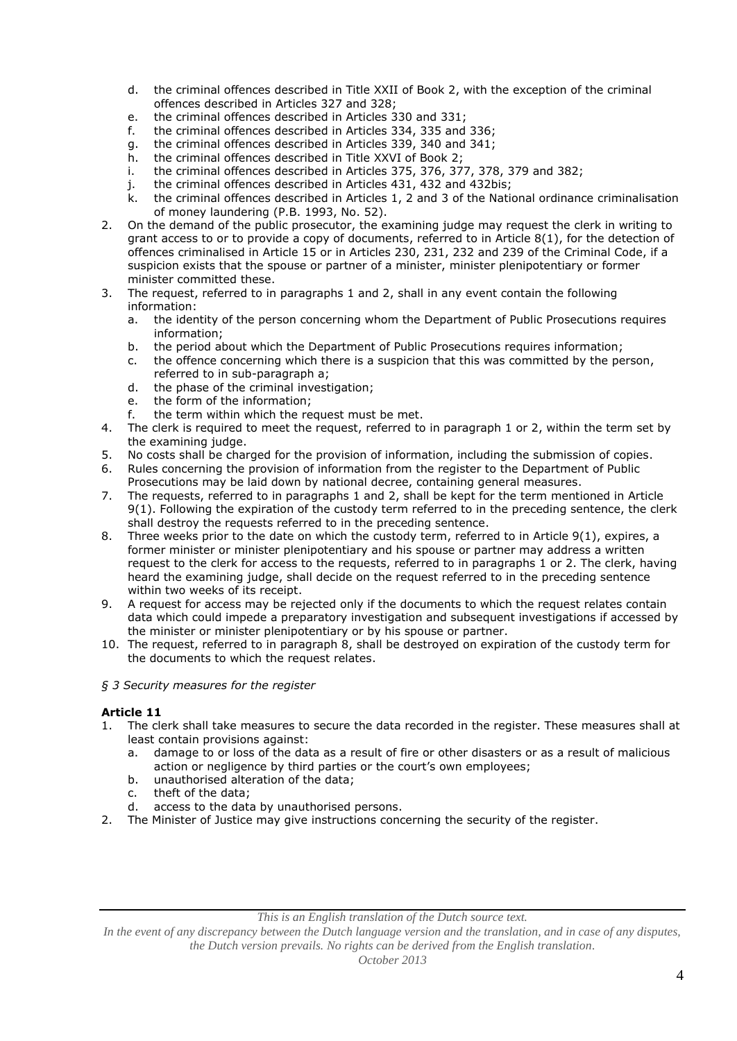- d. the criminal offences described in Title XXII of Book 2, with the exception of the criminal offences described in Articles 327 and 328;
- e. the criminal offences described in Articles 330 and 331;
- f. the criminal offences described in Articles 334, 335 and 336;
- g. the criminal offences described in Articles 339, 340 and 341;<br>h. the criminal offences described in Title XXVI of Book 2:
- the criminal offences described in Title XXVI of Book 2;
- i. the criminal offences described in Articles 375, 376, 377, 378, 379 and 382;
- j. the criminal offences described in Articles 431, 432 and 432bis;
- k. the criminal offences described in Articles 1, 2 and 3 of the National ordinance criminalisation of money laundering (P.B. 1993, No. 52).
- 2. On the demand of the public prosecutor, the examining judge may request the clerk in writing to grant access to or to provide a copy of documents, referred to in Article 8(1), for the detection of offences criminalised in Article 15 or in Articles 230, 231, 232 and 239 of the Criminal Code, if a suspicion exists that the spouse or partner of a minister, minister plenipotentiary or former minister committed these.
- 3. The request, referred to in paragraphs 1 and 2, shall in any event contain the following information:
	- a. the identity of the person concerning whom the Department of Public Prosecutions requires information;
	- b. the period about which the Department of Public Prosecutions requires information;
	- c. the offence concerning which there is a suspicion that this was committed by the person, referred to in sub-paragraph a;
	- d. the phase of the criminal investigation;<br>e. the form of the information;
	- the form of the information;
	- f. the term within which the request must be met.
- 4. The clerk is required to meet the request, referred to in paragraph 1 or 2, within the term set by the examining judge.
- 5. No costs shall be charged for the provision of information, including the submission of copies.
- 6. Rules concerning the provision of information from the register to the Department of Public Prosecutions may be laid down by national decree, containing general measures.
- 7. The requests, referred to in paragraphs 1 and 2, shall be kept for the term mentioned in Article 9(1). Following the expiration of the custody term referred to in the preceding sentence, the clerk shall destroy the requests referred to in the preceding sentence.
- 8. Three weeks prior to the date on which the custody term, referred to in Article 9(1), expires, a former minister or minister plenipotentiary and his spouse or partner may address a written request to the clerk for access to the requests, referred to in paragraphs 1 or 2. The clerk, having heard the examining judge, shall decide on the request referred to in the preceding sentence within two weeks of its receipt.
- 9. A request for access may be rejected only if the documents to which the request relates contain data which could impede a preparatory investigation and subsequent investigations if accessed by the minister or minister plenipotentiary or by his spouse or partner.
- 10. The request, referred to in paragraph 8, shall be destroyed on expiration of the custody term for the documents to which the request relates.

#### *§ 3 Security measures for the register*

## **Article 11**

- 1. The clerk shall take measures to secure the data recorded in the register. These measures shall at least contain provisions against:
	- a. damage to or loss of the data as a result of fire or other disasters or as a result of malicious action or negligence by third parties or the court's own employees;
	- b. unauthorised alteration of the data;
	- c. theft of the data;
	- d. access to the data by unauthorised persons.
- 2. The Minister of Justice may give instructions concerning the security of the register.

*This is an English translation of the Dutch source text.*

*In the event of any discrepancy between the Dutch language version and the translation, and in case of any disputes, the Dutch version prevails. No rights can be derived from the English translation.*

*October 2013*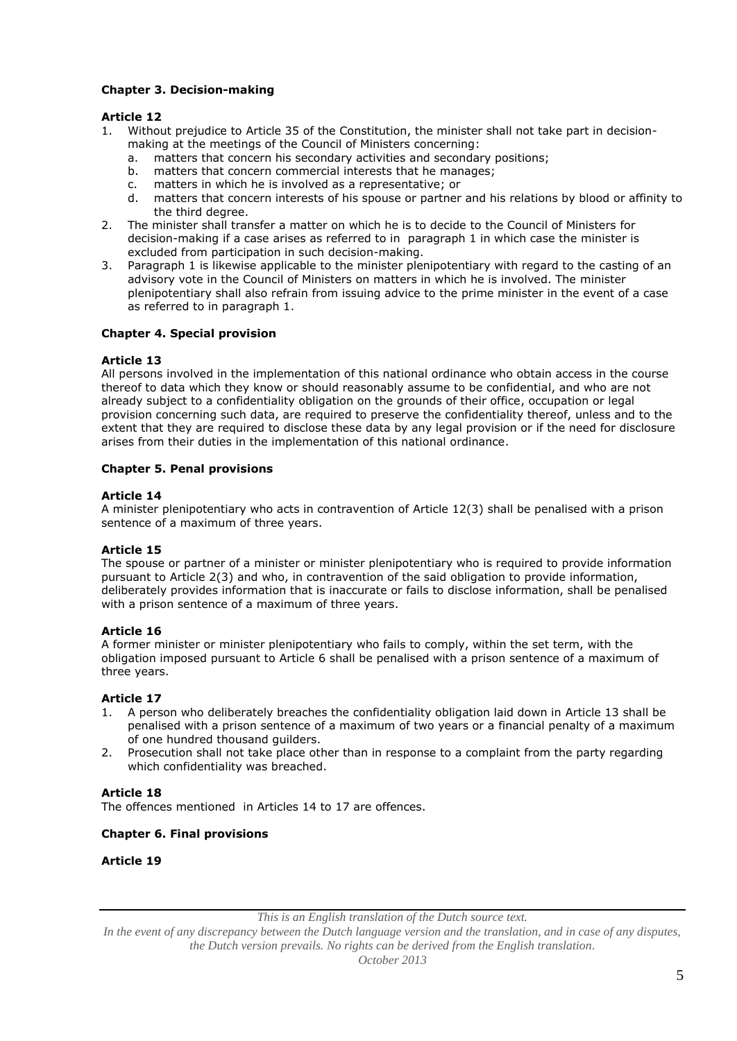## **Chapter 3. Decision-making**

## **Article 12**

- 1. Without prejudice to Article 35 of the Constitution, the minister shall not take part in decisionmaking at the meetings of the Council of Ministers concerning:
	- a. matters that concern his secondary activities and secondary positions;<br>b. matters that concern commercial interests that he manages;
	- matters that concern commercial interests that he manages;
	- c. matters in which he is involved as a representative; or
	- d. matters that concern interests of his spouse or partner and his relations by blood or affinity to the third degree.
- 2. The minister shall transfer a matter on which he is to decide to the Council of Ministers for decision-making if a case arises as referred to in paragraph 1 in which case the minister is excluded from participation in such decision-making.
- 3. Paragraph 1 is likewise applicable to the minister plenipotentiary with regard to the casting of an advisory vote in the Council of Ministers on matters in which he is involved. The minister plenipotentiary shall also refrain from issuing advice to the prime minister in the event of a case as referred to in paragraph 1.

### **Chapter 4. Special provision**

### **Article 13**

All persons involved in the implementation of this national ordinance who obtain access in the course thereof to data which they know or should reasonably assume to be confidential, and who are not already subject to a confidentiality obligation on the grounds of their office, occupation or legal provision concerning such data, are required to preserve the confidentiality thereof, unless and to the extent that they are required to disclose these data by any legal provision or if the need for disclosure arises from their duties in the implementation of this national ordinance.

### **Chapter 5. Penal provisions**

### **Article 14**

A minister plenipotentiary who acts in contravention of Article 12(3) shall be penalised with a prison sentence of a maximum of three years.

#### **Article 15**

The spouse or partner of a minister or minister plenipotentiary who is required to provide information pursuant to Article 2(3) and who, in contravention of the said obligation to provide information, deliberately provides information that is inaccurate or fails to disclose information, shall be penalised with a prison sentence of a maximum of three years.

#### **Article 16**

A former minister or minister plenipotentiary who fails to comply, within the set term, with the obligation imposed pursuant to Article 6 shall be penalised with a prison sentence of a maximum of three years.

#### **Article 17**

- 1. A person who deliberately breaches the confidentiality obligation laid down in Article 13 shall be penalised with a prison sentence of a maximum of two years or a financial penalty of a maximum of one hundred thousand guilders.
- 2. Prosecution shall not take place other than in response to a complaint from the party regarding which confidentiality was breached.

## **Article 18**

The offences mentioned in Articles 14 to 17 are offences.

## **Chapter 6. Final provisions**

#### **Article 19**

*This is an English translation of the Dutch source text.*

*In the event of any discrepancy between the Dutch language version and the translation, and in case of any disputes, the Dutch version prevails. No rights can be derived from the English translation.*